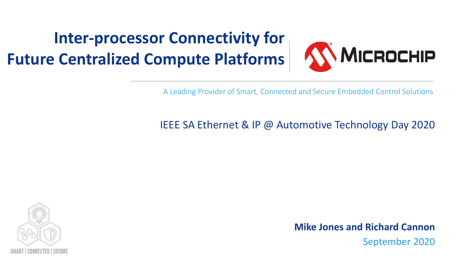#### **Inter-processor Connectivity for Future Centralized Compute Platforms**



A Leading Provider of Smart, Connected and Secure Embedded Control Solutions

#### IEEE SA Ethernet & IP @ Automotive Technology Day 2020



September 2020 **Mike Jones and Richard Cannon**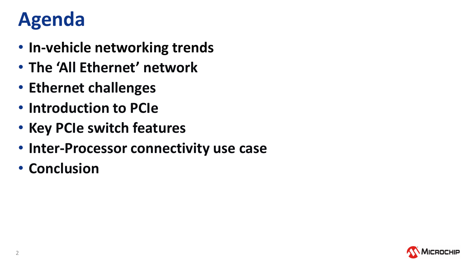### **Agenda**

- **In-vehicle networking trends**
- **The 'All Ethernet' network**
- **Ethernet challenges**
- **Introduction to PCIe**
- **Key PCIe switch features**
- **Inter-Processor connectivity use case**
- **Conclusion**

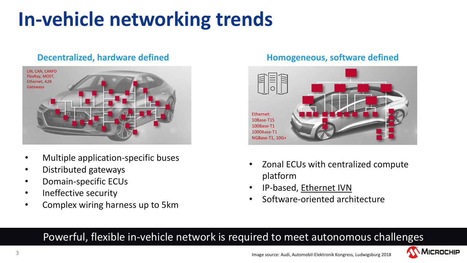# **In-vehicle networking trends**

#### **Decentralized, hardware defined**



- Multiple application-specific buses
- Distributed gateways
- Domain-specific ECUs
- Ineffective security
- Complex wiring harness up to 5km

#### **Homogeneous, software defined**



- Zonal ECUs with centralized compute platform
- IP-based, Ethernet IVN
- Software-oriented architecture

#### Powerful, flexible in-vehicle network is required to meet autonomous challenges

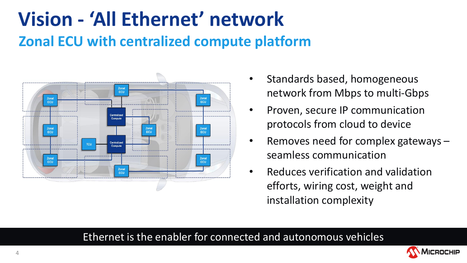### **Vision - 'All Ethernet' network Zonal ECU with centralized compute platform**



- Standards based, homogeneous network from Mbps to multi-Gbps
- Proven, secure IP communication protocols from cloud to device
- Removes need for complex gateways seamless communication
- Reduces verification and validation efforts, wiring cost, weight and installation complexity

#### Ethernet is the enabler for connected and autonomous vehicles

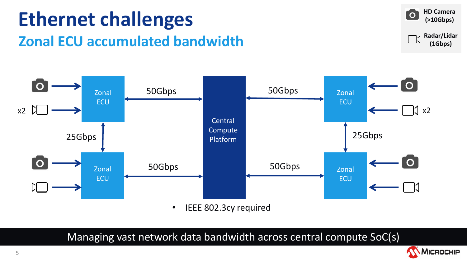





• IEEE 802.3cy required

Managing vast network data bandwidth across central compute SoC(s)

MICROCHIP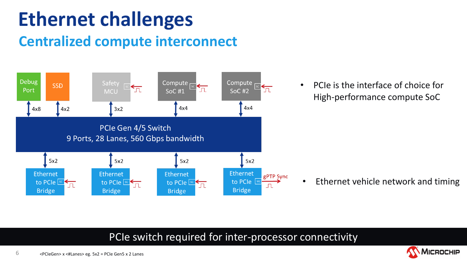## **Ethernet challenges**

#### **Centralized compute interconnect**



• PCIe is the interface of choice for High-performance compute SoC

• Ethernet vehicle network and timing

#### PCIe switch required for inter-processor connectivity

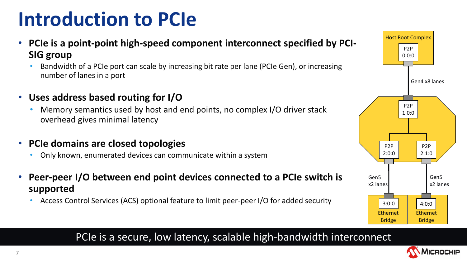## **Introduction to PCIe**

- **PCIe is a point-point high-speed component interconnect specified by PCI-SIG group**
	- Bandwidth of a PCIe port can scale by increasing bit rate per lane (PCIe Gen), or increasing number of lanes in a port
- **Uses address based routing for I/O**
	- Memory semantics used by host and end points, no complex I/O driver stack overhead gives minimal latency
- **PCIe domains are closed topologies**
	- Only known, enumerated devices can communicate within a system
- **Peer-peer I/O between end point devices connected to a PCIe switch is supported**
	- Access Control Services (ACS) optional feature to limit peer-peer I/O for added security



PCIe is a secure, low latency, scalable high-bandwidth interconnect

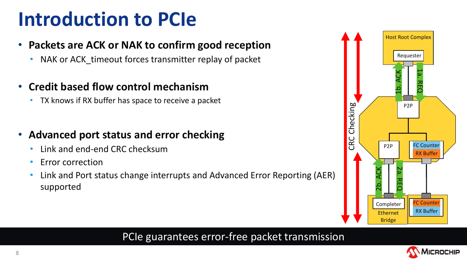### **Introduction to PCIe**

- **Packets are ACK or NAK to confirm good reception**
	- NAK or ACK\_timeout forces transmitter replay of packet
- **Credit based flow control mechanism**
	- TX knows if RX buffer has space to receive a packet
- **Advanced port status and error checking**
	- Link and end-end CRC checksum
	- Error correction
	- Link and Port status change interrupts and Advanced Error Reporting (AER) supported



#### PCIe guarantees error-free packet transmission

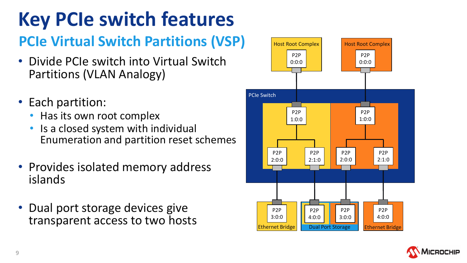# **Key PCIe switch features**

#### **PCIe Virtual Switch Partitions (VSP)**

- Divide PCIe switch into Virtual Switch Partitions (VLAN Analogy)
- Each partition:
	- Has its own root complex
	- Is a closed system with individual Enumeration and partition reset schemes
- Provides isolated memory address islands
- Dual port storage devices give transparent access to two hosts



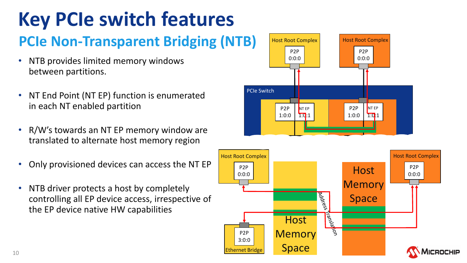# **Key PCIe switch features**

#### **PCIe Non-Transparent Bridging (NTB)**

- NTB provides limited memory windows between partitions.
- NT End Point (NT EP) function is enumerated in each NT enabled partition
- R/W's towards an NT EP memory window are translated to alternate host memory region
- Only provisioned devices can access the NT EP
- NTB driver protects a host by completely controlling all EP device access, irrespective of the EP device native HW capabilities

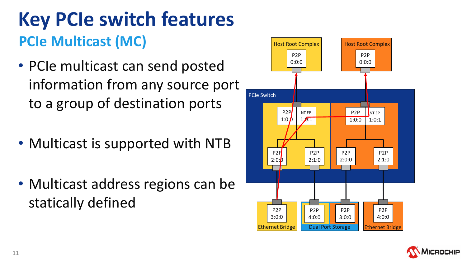### **Key PCIe switch features PCIe Multicast (MC)**

- PCIe multicast can send posted information from any source port to a group of destination ports
- Multicast is supported with NTB
- Multicast address regions can be statically defined



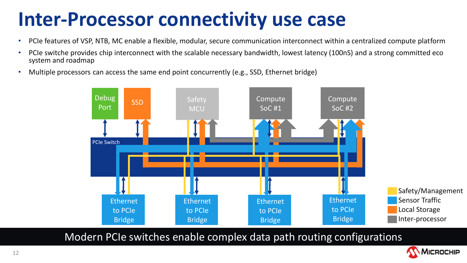### **Inter-Processor connectivity use case**

- PCIe features of VSP, NTB, MC enable a flexible, modular, secure communication interconnect within a centralized compute platform
- PCIe switche provides chip interconnect with the scalable necessary bandwidth, lowest latency (100nS) and a strong committed eco system and roadmap
- Multiple processors can access the same end point concurrently (e.g., SSD, Ethernet bridge)



Modern PCIe switches enable complex data path routing configurations